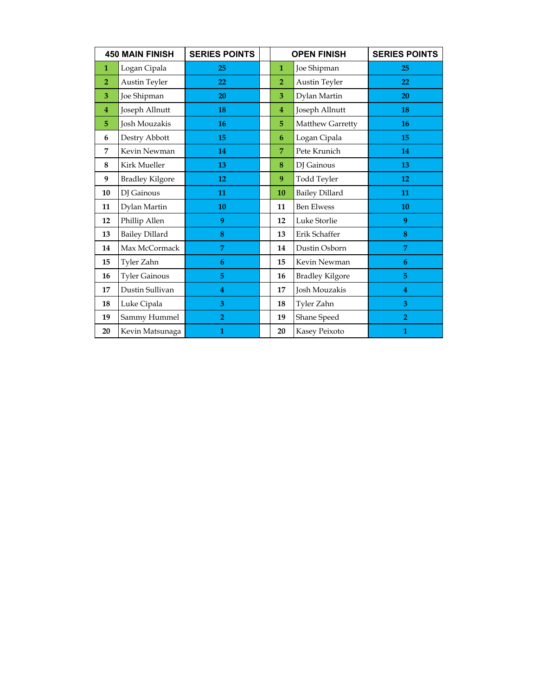| <b>450 MAIN FINISH</b> |                        | <b>SERIES POINTS</b> | <b>OPEN FINISH</b> |                        | <b>SERIES POINTS</b> |
|------------------------|------------------------|----------------------|--------------------|------------------------|----------------------|
| $\mathbf{1}$           | Logan Cipala           | 25                   | $\mathbf{1}$       | Joe Shipman            | 25                   |
| $\overline{2}$         | Austin Teyler          | 22                   | $\overline{2}$     | Austin Teyler          | 22                   |
| 3                      | Joe Shipman            | 20                   | 3                  | Dylan Martin           | 20                   |
| 4                      | Joseph Allnutt         | 18                   | 4                  | Joseph Allnutt         | 18                   |
| 5                      | Josh Mouzakis          | 16                   | 5                  | Matthew Garretty       | 16                   |
| 6                      | Destry Abbott          | 15                   | 6                  | Logan Cipala           | 15                   |
| 7                      | Kevin Newman           | 14                   | $\overline{7}$     | Pete Krunich           | 14                   |
| 8                      | Kirk Mueller           | 13                   | 8                  | DJ Gainous             | 13                   |
| 9                      | <b>Bradley Kilgore</b> | 12                   | 9                  | Todd Teyler            | 12                   |
| 10                     | DJ Gainous             | 11                   | 10                 | <b>Bailey Dillard</b>  | 11                   |
| 11                     | Dylan Martin           | 10                   | 11                 | <b>Ben Elwess</b>      | 10                   |
| 12                     | Phillip Allen          | 9                    | 12                 | Luke Storlie           | 9                    |
| 13                     | <b>Bailey Dillard</b>  | 8                    | 13                 | Erik Schaffer          | 8                    |
| 14                     | Max McCormack          | $\overline{7}$       | 14                 | Dustin Osborn          | 7                    |
| 15                     | Tyler Zahn             | 6                    | 15                 | Kevin Newman           | 6                    |
| 16                     | <b>Tyler Gainous</b>   | 5                    | 16                 | <b>Bradley Kilgore</b> | 5                    |
| 17                     | Dustin Sullivan        | 4                    | 17                 | Josh Mouzakis          | 4                    |
| 18                     | Luke Cipala            | 3                    | 18                 | Tyler Zahn             | 3                    |
| 19                     | Sammy Hummel           | $\overline{2}$       | 19                 | Shane Speed            | $\overline{2}$       |
| 20                     | Kevin Matsunaga        | $\mathbf{1}$         | 20                 | Kasey Peixoto          | 1                    |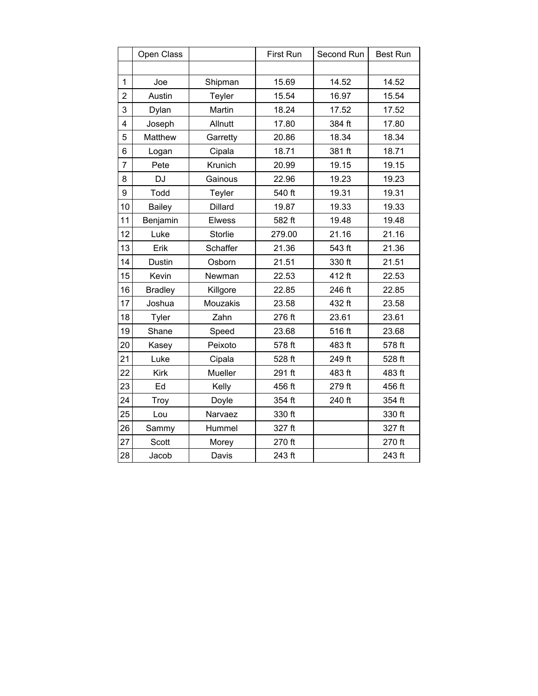|                | Open Class     |                | First Run | Second Run | <b>Best Run</b> |
|----------------|----------------|----------------|-----------|------------|-----------------|
|                |                |                |           |            |                 |
| $\mathbf 1$    | Joe            | Shipman        | 15.69     | 14.52      | 14.52           |
| 2              | Austin         | Teyler         | 15.54     | 16.97      | 15.54           |
| 3              | Dylan          | Martin         | 18.24     | 17.52      | 17.52           |
| 4              | Joseph         | Allnutt        | 17.80     | 384 ft     | 17.80           |
| 5              | Matthew        | Garretty       | 20.86     | 18.34      | 18.34           |
| 6              | Logan          | Cipala         | 18.71     | 381 ft     | 18.71           |
| $\overline{7}$ | Pete           | Krunich        | 20.99     | 19.15      | 19.15           |
| 8              | DJ             | Gainous        | 22.96     | 19.23      | 19.23           |
| 9              | Todd           | Teyler         | 540 ft    | 19.31      | 19.31           |
| 10             | <b>Bailey</b>  | <b>Dillard</b> | 19.87     | 19.33      | 19.33           |
| 11             | Benjamin       | <b>Elwess</b>  | 582 ft    | 19.48      | 19.48           |
| 12             | Luke           | Storlie        | 279.00    | 21.16      | 21.16           |
| 13             | Erik           | Schaffer       | 21.36     | 543 ft     | 21.36           |
| 14             | Dustin         | Osborn         | 21.51     | 330 ft     | 21.51           |
| 15             | Kevin          | Newman         | 22.53     | 412 ft     | 22.53           |
| 16             | <b>Bradley</b> | Killgore       | 22.85     | 246 ft     | 22.85           |
| 17             | Joshua         | Mouzakis       | 23.58     | 432 ft     | 23.58           |
| 18             | Tyler          | Zahn           | 276 ft    | 23.61      | 23.61           |
| 19             | Shane          | Speed          | 23.68     | 516 ft     | 23.68           |
| 20             | Kasey          | Peixoto        | 578 ft    | 483 ft     | 578 ft          |
| 21             | Luke           | Cipala         | 528 ft    | 249 ft     | 528 ft          |
| 22             | <b>Kirk</b>    | Mueller        | 291 ft    | 483 ft     | 483 ft          |
| 23             | Ed             | Kelly          | 456 ft    | 279 ft     | 456 ft          |
| 24             | Troy           | Doyle          | 354 ft    | 240 ft     | 354 ft          |
| 25             | Lou            | Narvaez        | 330 ft    |            | 330 ft          |
| 26             | Sammy          | Hummel         | 327 ft    |            | 327 ft          |
| 27             | Scott          | Morey          | 270 ft    |            | 270 ft          |
| 28             | Jacob          | Davis          | 243 ft    |            | 243 ft          |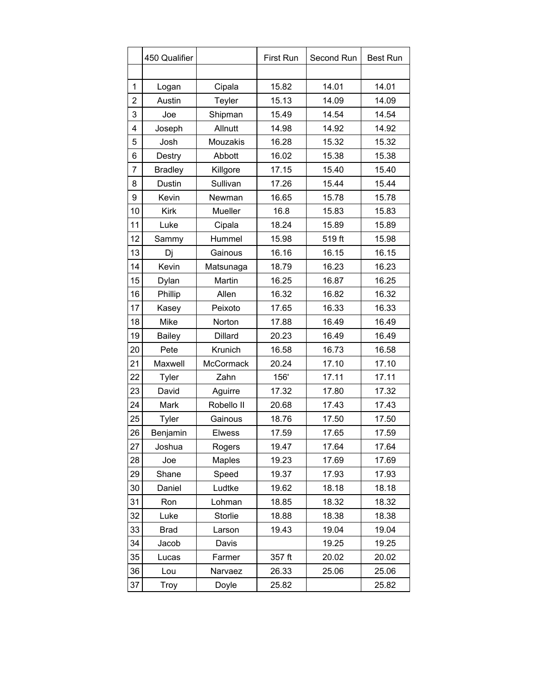|                | 450 Qualifier  |                  | <b>First Run</b> | Second Run | <b>Best Run</b> |
|----------------|----------------|------------------|------------------|------------|-----------------|
|                |                |                  |                  |            |                 |
| 1              | Logan          | Cipala           | 15.82            | 14.01      | 14.01           |
| $\overline{2}$ | Austin         | Teyler           | 15.13            | 14.09      | 14.09           |
| 3              | Joe            | Shipman          | 15.49            | 14.54      | 14.54           |
| 4              | Joseph         | Allnutt          | 14.98            | 14.92      | 14.92           |
| 5              | Josh           | Mouzakis         | 16.28            | 15.32      | 15.32           |
| 6              | Destry         | Abbott           | 16.02            | 15.38      | 15.38           |
| 7              | <b>Bradley</b> | Killgore         | 17.15            | 15.40      | 15.40           |
| 8              | Dustin         | Sullivan         | 17.26            | 15.44      | 15.44           |
| 9              | Kevin          | Newman           | 16.65            | 15.78      | 15.78           |
| 10             | <b>Kirk</b>    | Mueller          | 16.8             | 15.83      | 15.83           |
| 11             | Luke           | Cipala           | 18.24            | 15.89      | 15.89           |
| 12             | Sammy          | Hummel           | 15.98            | 519 ft     | 15.98           |
| 13             | Dj             | Gainous          | 16.16            | 16.15      | 16.15           |
| 14             | Kevin          | Matsunaga        | 18.79            | 16.23      | 16.23           |
| 15             | Dylan          | Martin           | 16.25            | 16.87      | 16.25           |
| 16             | Phillip        | Allen            | 16.32            | 16.82      | 16.32           |
| 17             | Kasey          | Peixoto          | 17.65            | 16.33      | 16.33           |
| 18             | Mike           | Norton           | 17.88            | 16.49      | 16.49           |
| 19             | <b>Bailey</b>  | <b>Dillard</b>   | 20.23            | 16.49      | 16.49           |
| 20             | Pete           | Krunich          | 16.58            | 16.73      | 16.58           |
| 21             | Maxwell        | <b>McCormack</b> | 20.24            | 17.10      | 17.10           |
| 22             | Tyler          | Zahn             | 156'             | 17.11      | 17.11           |
| 23             | David          | Aguirre          | 17.32            | 17.80      | 17.32           |
| 24             | Mark           | Robello II       | 20.68            | 17.43      | 17.43           |
| 25             | Tyler          | Gainous          | 18.76            | 17.50      | 17.50           |
| 26             | Benjamin       | <b>Elwess</b>    | 17.59            | 17.65      | 17.59           |
| 27             | Joshua         | Rogers           | 19.47            | 17.64      | 17.64           |
| 28             | Joe            | Maples           | 19.23            | 17.69      | 17.69           |
| 29             | Shane          | Speed            | 19.37            | 17.93      | 17.93           |
| 30             | Daniel         | Ludtke           | 19.62            | 18.18      | 18.18           |
| 31             | Ron            | Lohman           | 18.85            | 18.32      | 18.32           |
| 32             | Luke           | Storlie          | 18.88            | 18.38      | 18.38           |
| 33             | <b>Brad</b>    | Larson           | 19.43            | 19.04      | 19.04           |
| 34             | Jacob          | Davis            |                  | 19.25      | 19.25           |
| 35             | Lucas          | Farmer           | 357 ft           | 20.02      | 20.02           |
| 36             | Lou            | Narvaez          | 26.33            | 25.06      | 25.06           |
| 37             | Troy           | Doyle            | 25.82            |            | 25.82           |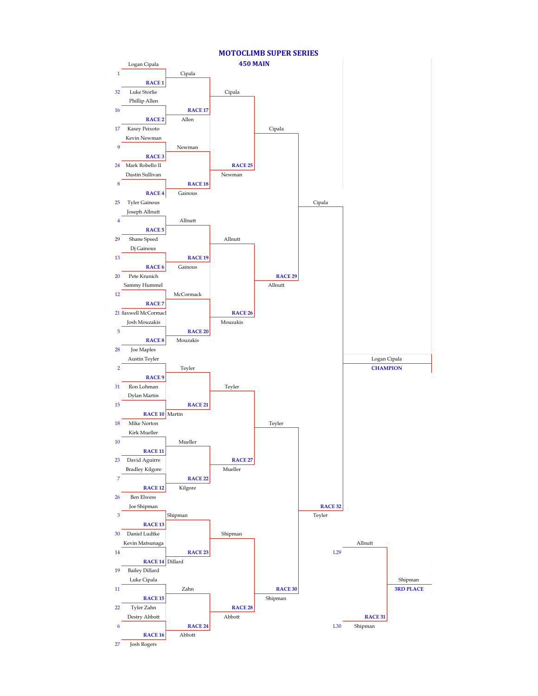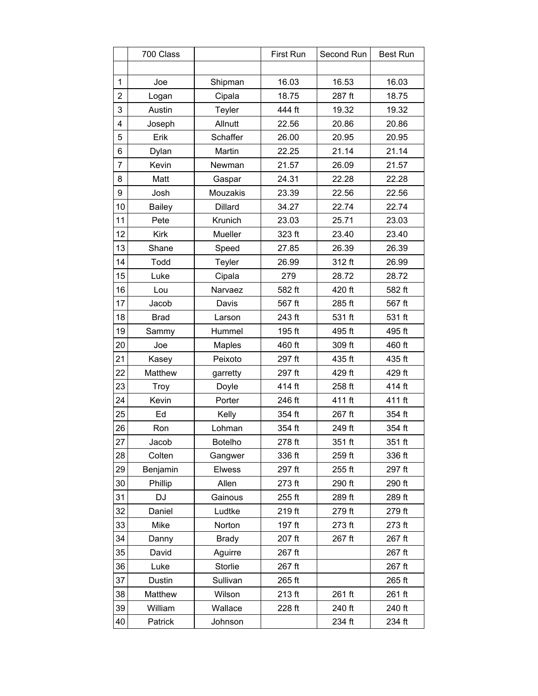|                         | 700 Class     |               | First Run | Second Run | Best Run |
|-------------------------|---------------|---------------|-----------|------------|----------|
|                         |               |               |           |            |          |
| $\mathbf{1}$            | Joe           | Shipman       | 16.03     | 16.53      | 16.03    |
| $\overline{2}$          | Logan         | Cipala        | 18.75     | 287 ft     | 18.75    |
| 3                       | Austin        | Teyler        | 444 ft    | 19.32      | 19.32    |
| $\overline{\mathbf{4}}$ | Joseph        | Allnutt       | 22.56     | 20.86      | 20.86    |
| 5                       | Erik          | Schaffer      | 26.00     | 20.95      | 20.95    |
| 6                       | Dylan         | Martin        | 22.25     | 21.14      | 21.14    |
| $\overline{7}$          | Kevin         | Newman        | 21.57     | 26.09      | 21.57    |
| 8                       | Matt          | Gaspar        | 24.31     | 22.28      | 22.28    |
| 9                       | Josh          | Mouzakis      | 23.39     | 22.56      | 22.56    |
| 10                      | <b>Bailey</b> | Dillard       | 34.27     | 22.74      | 22.74    |
| 11                      | Pete          | Krunich       | 23.03     | 25.71      | 23.03    |
| 12                      | Kirk          | Mueller       | 323 ft    | 23.40      | 23.40    |
| 13                      | Shane         | Speed         | 27.85     | 26.39      | 26.39    |
| 14                      | Todd          | Teyler        | 26.99     | 312 ft     | 26.99    |
| 15                      | Luke          | Cipala        | 279       | 28.72      | 28.72    |
| 16                      | Lou           | Narvaez       | 582 ft    | 420 ft     | 582 ft   |
| 17                      | Jacob         | Davis         | 567 ft    | 285 ft     | 567 ft   |
| 18                      | <b>Brad</b>   | Larson        | 243 ft    | 531 ft     | 531 ft   |
| 19                      | Sammy         | Hummel        | 195 ft    | 495 ft     | 495 ft   |
| 20                      | Joe           | <b>Maples</b> | 460 ft    | 309 ft     | 460 ft   |
| 21                      | Kasey         | Peixoto       | 297 ft    | 435 ft     | 435 ft   |
| 22                      | Matthew       | garretty      | 297 ft    | 429 ft     | 429 ft   |
| 23                      | Troy          | Doyle         | 414 ft    | 258 ft     | 414 ft   |
| 24                      | Kevin         | Porter        | 246 ft    | 411 ft     | 411 ft   |
| 25                      | Ed            | Kelly         | 354 ft    | 267 ft     | 354 ft   |
| 26                      | Ron           | Lohman        | 354 ft    | 249 ft     | 354 ft   |
| 27                      | Jacob         | Botelho       | 278 ft    | 351 ft     | 351 ft   |
| 28                      | Colten        | Gangwer       | 336 ft    | 259 ft     | 336 ft   |
| 29                      | Benjamin      | <b>Elwess</b> | 297 ft    | 255 ft     | 297 ft   |
| 30                      | Phillip       | Allen         | 273 ft    | 290 ft     | 290 ft   |
| 31                      | <b>DJ</b>     | Gainous       | 255 ft    | 289 ft     | 289 ft   |
| 32                      | Daniel        | Ludtke        | 219 ft    | 279 ft     | 279 ft   |
| 33                      | Mike          | Norton        | 197 ft    | 273 ft     | 273 ft   |
| 34                      | Danny         | <b>Brady</b>  | 207 ft    | 267 ft     | 267 ft   |
| 35                      | David         | Aguirre       | 267 ft    |            | 267 ft   |
| 36                      | Luke          | Storlie       | 267 ft    |            | 267 ft   |
| 37                      | Dustin        | Sullivan      | 265 ft    |            | 265 ft   |
| 38                      | Matthew       | Wilson        | 213 ft    | 261 ft     | 261 ft   |
| 39                      | William       | Wallace       | 228 ft    | 240 ft     | 240 ft   |
| 40                      | Patrick       | Johnson       |           | 234 ft     | 234 ft   |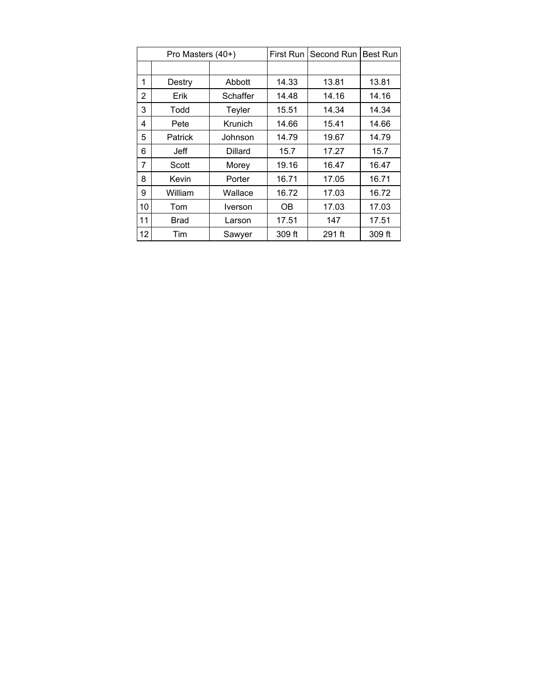|                 | Pro Masters (40+)  |          | First Run | Second Run | <b>Best Run</b> |
|-----------------|--------------------|----------|-----------|------------|-----------------|
|                 |                    |          |           |            |                 |
| 1               | Destry             | Abbott   | 14.33     | 13.81      | 13.81           |
| $\overline{2}$  | Erik               | Schaffer | 14.48     | 14.16      | 14.16           |
| 3               | Todd               | Teyler   | 15.51     | 14.34      | 14.34           |
| 4               | Krunich<br>Pete    |          | 14.66     | 15.41      | 14.66           |
| 5               | <b>Patrick</b>     | Johnson  | 14.79     | 19.67      | 14.79           |
| 6               | Jeff               | Dillard  | 15.7      | 17.27      | 15.7            |
| 7               | Scott              | Morey    | 19.16     | 16.47      | 16.47           |
| 8               | Kevin              | Porter   |           | 17.05      | 16.71           |
| 9               | William<br>Wallace |          | 16.72     | 17.03      | 16.72           |
| 10              | Tom                | Iverson  | OΒ        | 17.03      | 17.03           |
| 11              | <b>Brad</b>        | Larson   |           | 147        | 17.51           |
| 12 <sup>2</sup> | Tim<br>Sawyer      |          | 309 ft    | 291 ft     | 309 ft          |